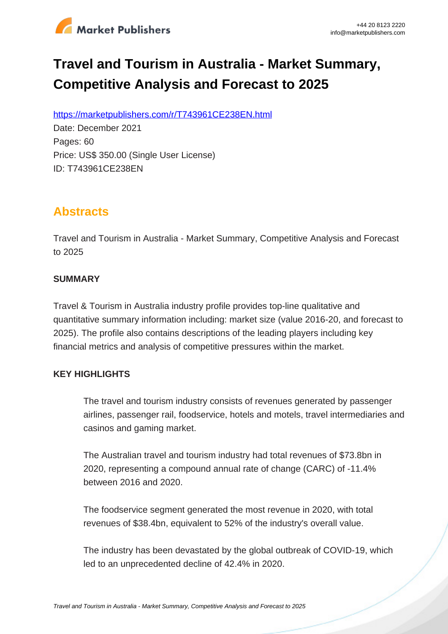

# **Travel and Tourism in Australia - Market Summary, Competitive Analysis and Forecast to 2025**

https://marketpublishers.com/r/T743961CE238EN.html

Date: December 2021 Pages: 60 Price: US\$ 350.00 (Single User License) ID: T743961CE238EN

# **Abstracts**

Travel and Tourism in Australia - Market Summary, Competitive Analysis and Forecast to 2025

#### **SUMMARY**

Travel & Tourism in Australia industry profile provides top-line qualitative and quantitative summary information including: market size (value 2016-20, and forecast to 2025). The profile also contains descriptions of the leading players including key financial metrics and analysis of competitive pressures within the market.

### **KEY HIGHLIGHTS**

The travel and tourism industry consists of revenues generated by passenger airlines, passenger rail, foodservice, hotels and motels, travel intermediaries and casinos and gaming market.

The Australian travel and tourism industry had total revenues of \$73.8bn in 2020, representing a compound annual rate of change (CARC) of -11.4% between 2016 and 2020.

The foodservice segment generated the most revenue in 2020, with total revenues of \$38.4bn, equivalent to 52% of the industry's overall value.

The industry has been devastated by the global outbreak of COVID-19, which led to an unprecedented decline of 42.4% in 2020.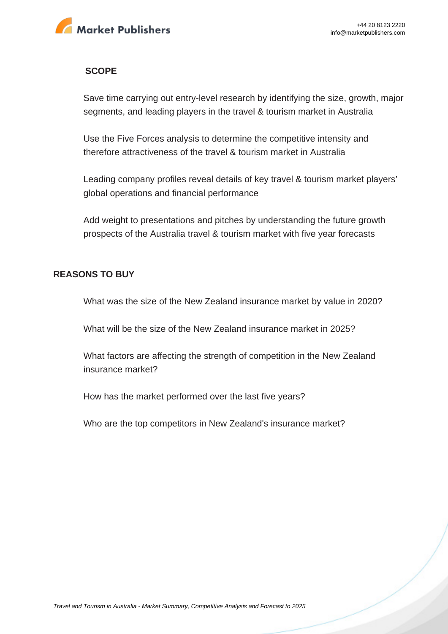

#### **SCOPE**

Save time carrying out entry-level research by identifying the size, growth, major segments, and leading players in the travel & tourism market in Australia

Use the Five Forces analysis to determine the competitive intensity and therefore attractiveness of the travel & tourism market in Australia

Leading company profiles reveal details of key travel & tourism market players' global operations and financial performance

Add weight to presentations and pitches by understanding the future growth prospects of the Australia travel & tourism market with five year forecasts

#### **REASONS TO BUY**

What was the size of the New Zealand insurance market by value in 2020?

What will be the size of the New Zealand insurance market in 2025?

What factors are affecting the strength of competition in the New Zealand insurance market?

How has the market performed over the last five years?

Who are the top competitors in New Zealand's insurance market?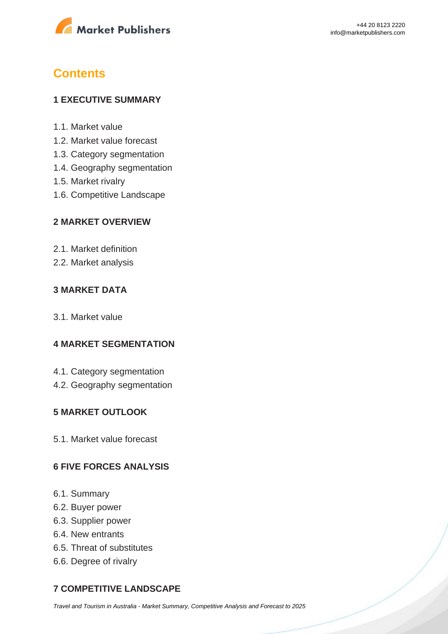

# **Contents**

#### **1 EXECUTIVE SUMMARY**

- 1.1. Market value
- 1.2. Market value forecast
- 1.3. Category segmentation
- 1.4. Geography segmentation
- 1.5. Market rivalry
- 1.6. Competitive Landscape

#### **2 MARKET OVERVIEW**

- 2.1. Market definition
- 2.2. Market analysis

#### **3 MARKET DATA**

3.1. Market value

#### **4 MARKET SEGMENTATION**

- 4.1. Category segmentation
- 4.2. Geography segmentation

#### **5 MARKET OUTLOOK**

5.1. Market value forecast

#### **6 FIVE FORCES ANALYSIS**

- 6.1. Summary
- 6.2. Buyer power
- 6.3. Supplier power
- 6.4. New entrants
- 6.5. Threat of substitutes
- 6.6. Degree of rivalry

### **7 COMPETITIVE LANDSCAPE**

[Travel and Tourism in Australia - Market Summary, Competitive Analysis and Forecast to 2025](https://marketpublishers.com/report/services/travel-leisure/travel-n-tourism-in-australia-market-summary-competitive-analysis-n-forecast-to-2025.html)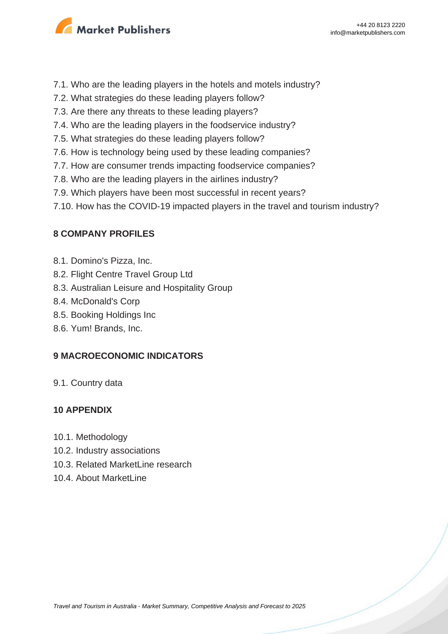

- 7.1. Who are the leading players in the hotels and motels industry?
- 7.2. What strategies do these leading players follow?
- 7.3. Are there any threats to these leading players?
- 7.4. Who are the leading players in the foodservice industry?
- 7.5. What strategies do these leading players follow?
- 7.6. How is technology being used by these leading companies?
- 7.7. How are consumer trends impacting foodservice companies?
- 7.8. Who are the leading players in the airlines industry?
- 7.9. Which players have been most successful in recent years?
- 7.10. How has the COVID-19 impacted players in the travel and tourism industry?

#### **8 COMPANY PROFILES**

- 8.1. Domino's Pizza, Inc.
- 8.2. Flight Centre Travel Group Ltd
- 8.3. Australian Leisure and Hospitality Group
- 8.4. McDonald's Corp
- 8.5. Booking Holdings Inc
- 8.6. Yum! Brands, Inc.

#### **9 MACROECONOMIC INDICATORS**

9.1. Country data

#### **10 APPENDIX**

- 10.1. Methodology
- 10.2. Industry associations
- 10.3. Related MarketLine research
- 10.4. About MarketLine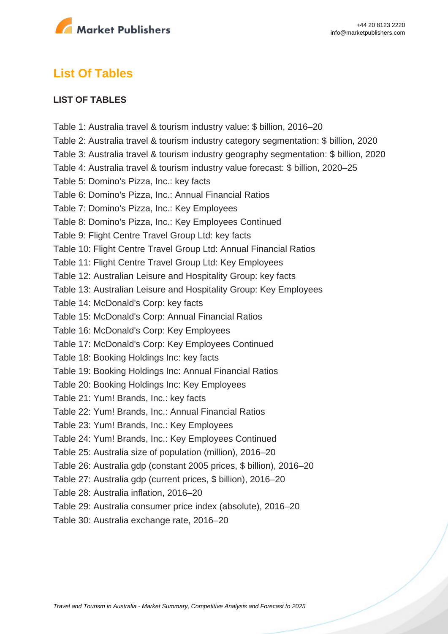

# **List Of Tables**

#### **LIST OF TABLES**

Table 1: Australia travel & tourism industry value: \$ billion, 2016–20 Table 2: Australia travel & tourism industry category segmentation: \$ billion, 2020 Table 3: Australia travel & tourism industry geography segmentation: \$ billion, 2020 Table 4: Australia travel & tourism industry value forecast: \$ billion, 2020–25 Table 5: Domino's Pizza, Inc.: key facts Table 6: Domino's Pizza, Inc.: Annual Financial Ratios Table 7: Domino's Pizza, Inc.: Key Employees Table 8: Domino's Pizza, Inc.: Key Employees Continued Table 9: Flight Centre Travel Group Ltd: key facts Table 10: Flight Centre Travel Group Ltd: Annual Financial Ratios Table 11: Flight Centre Travel Group Ltd: Key Employees Table 12: Australian Leisure and Hospitality Group: key facts Table 13: Australian Leisure and Hospitality Group: Key Employees Table 14: McDonald's Corp: key facts Table 15: McDonald's Corp: Annual Financial Ratios Table 16: McDonald's Corp: Key Employees Table 17: McDonald's Corp: Key Employees Continued Table 18: Booking Holdings Inc: key facts Table 19: Booking Holdings Inc: Annual Financial Ratios Table 20: Booking Holdings Inc: Key Employees Table 21: Yum! Brands, Inc.: key facts Table 22: Yum! Brands, Inc.: Annual Financial Ratios Table 23: Yum! Brands, Inc.: Key Employees Table 24: Yum! Brands, Inc.: Key Employees Continued Table 25: Australia size of population (million), 2016–20 Table 26: Australia gdp (constant 2005 prices, \$ billion), 2016–20 Table 27: Australia gdp (current prices, \$ billion), 2016–20 Table 28: Australia inflation, 2016–20 Table 29: Australia consumer price index (absolute), 2016–20 Table 30: Australia exchange rate, 2016–20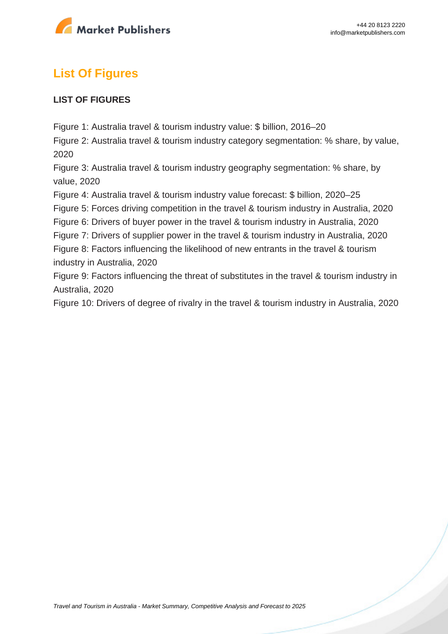

# **List Of Figures**

#### **LIST OF FIGURES**

Figure 1: Australia travel & tourism industry value: \$ billion, 2016–20

Figure 2: Australia travel & tourism industry category segmentation: % share, by value, 2020

Figure 3: Australia travel & tourism industry geography segmentation: % share, by value, 2020

Figure 4: Australia travel & tourism industry value forecast: \$ billion, 2020–25

Figure 5: Forces driving competition in the travel & tourism industry in Australia, 2020

Figure 6: Drivers of buyer power in the travel & tourism industry in Australia, 2020

Figure 7: Drivers of supplier power in the travel & tourism industry in Australia, 2020

Figure 8: Factors influencing the likelihood of new entrants in the travel & tourism industry in Australia, 2020

Figure 9: Factors influencing the threat of substitutes in the travel & tourism industry in Australia, 2020

Figure 10: Drivers of degree of rivalry in the travel & tourism industry in Australia, 2020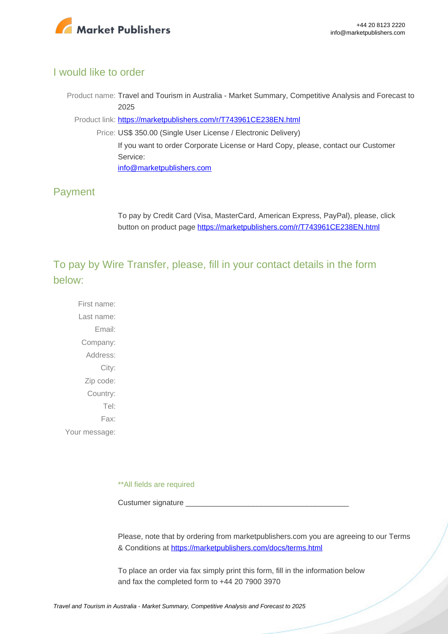

#### I would like to order

Product name: Travel and Tourism in Australia - Market Summary, Competitive Analysis and Forecast to 2025

Product link: [https://marketpublishers.com/r/T743961CE238EN.html](https://marketpublishers.com/report/services/travel-leisure/travel-n-tourism-in-australia-market-summary-competitive-analysis-n-forecast-to-2025.html)

Price: US\$ 350.00 (Single User License / Electronic Delivery) If you want to order Corporate License or Hard Copy, please, contact our Customer Service: [info@marketpublishers.com](mailto:info@marketpublishers.com)

### Payment

To pay by Credit Card (Visa, MasterCard, American Express, PayPal), please, click button on product page [https://marketpublishers.com/r/T743961CE238EN.html](https://marketpublishers.com/report/services/travel-leisure/travel-n-tourism-in-australia-market-summary-competitive-analysis-n-forecast-to-2025.html)

To pay by Wire Transfer, please, fill in your contact details in the form below:

First name: Last name: Email: Company: Address: City: Zip code: Country: Tel: Fax: Your message:

\*\*All fields are required

Custumer signature

Please, note that by ordering from marketpublishers.com you are agreeing to our Terms & Conditions at<https://marketpublishers.com/docs/terms.html>

To place an order via fax simply print this form, fill in the information below and fax the completed form to +44 20 7900 3970